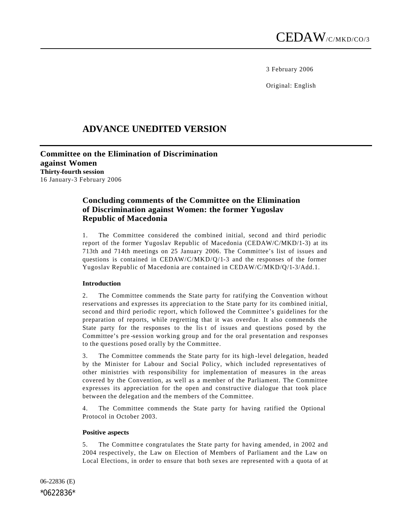3 February 2006

Original: English

# **ADVANCE UNEDITED VERSION**

**Committee on the Elimination of Discrimination against Women Thirty-fourth session** 16 January-3 February 2006

# **Concluding comments of the Committee on the Elimination of Discrimination against Women: the former Yugoslav Republic of Macedonia**

1. The Committee considered the combined initial, second and third periodic report of the former Yugoslav Republic of Macedonia (CEDAW/C/MKD/1-3) at its 713th and 714th meetings on 25 January 2006. The Committee's list of issues and questions is contained in CEDAW/C/MKD/Q/1-3 and the responses of the former Yugoslav Republic of Macedonia are contained in CEDAW/C/MKD/Q/1-3/Add.1.

## **Introduction**

2. The Committee commends the State party for ratifying the Convention without reservations and expresses its appreciation to the State party for its combined initial, second and third periodic report, which followed the Committee's guidelines for the preparation of reports, while regretting that it was overdue. It also commends the State party for the responses to the lis t of issues and questions posed by the Committee's pre -session working group and for the oral presentation and responses to the questions posed orally by the Committee.

3. The Committee commends the State party for its high -level delegation, headed by the Minister for Labour and Social Policy, which included representatives of other ministries with responsibility for implementation of measures in the areas covered by the Convention, as well as a member of the Parliament. The Committee expresses its appreciation for the open and constructive dialogue that took place between the delegation and the members of the Committee.

4. The Committee commends the State party for having ratified the Optional Protocol in October 2003.

#### **Positive aspects**

5. The Committee congratulates the State party for having amended, in 2002 and 2004 respectively, the Law on Election of Members of Parliament and the Law on Local Elections, in order to ensure that both sexes are represented with a quota of at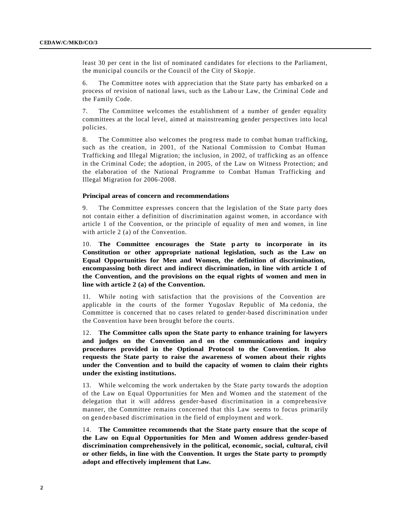least 30 per cent in the list of nominated candidates for elections to the Parliament, the municipal councils or the Council of the City of Skopje.

6. The Committee notes with appreciation that the State party has embarked on a process of revision of national laws, such as the Labo ur Law, the Criminal Code and the Family Code.

7. The Committee welcomes the establishment of a number of gender equality committees at the local level, aimed at mainstreaming gender perspectives into local policies.

8. The Committee also welcomes the prog ress made to combat human trafficking, such as the creation, in 2001, of the National Commission to Combat Human Trafficking and Illegal Migration; the inclusion, in 2002, of trafficking as an offence in the Criminal Code; the adoption, in 2005, of the Law on Witness Protection; and the elaboration of the National Programme to Combat Human Trafficking and Illegal Migration for 2006-2008.

#### **Principal areas of concern and recommendations**

9. The Committee expresses concern that the legislation of the State party does not contain either a definition of discrimination against women, in accordance with article 1 of the Convention, or the principle of equality of men and women, in line with article 2 (a) of the Convention.

10. **The Committee encourages the State p arty to incorporate in its Constitution or other appropriate national legislation, such as the Law on Equal Opportunities for Men and Women, the definition of discrimination, encompassing both direct and indirect discrimination, in line with article 1 of the Convention, and the provisions on the equal rights of women and men in line with article 2 (a) of the Convention.**

11. While noting with satisfaction that the provisions of the Convention are applicable in the courts of the former Yugoslav Republic of Ma cedonia, the Committee is concerned that no cases related to gender-based discrimination under the Convention have been brought before the courts.

12. **The Committee calls upon the State party to enhance training for lawyers**  and judges on the Convention and on the communications and inquiry **procedures provided in the Optional Protocol to the Convention. It also requests the State party to raise the awareness of women about their rights under the Convention and to build the capacity of women to claim their rights under the existing institutions.** 

13. While welcoming the work undertaken by the State party towards the adoption of the Law on Equal Opportunities for Men and Women and the statement of the delegation that it will address gender-based discrimination in a comprehensive manner, the Committee remains concerned that this Law seems to focus primarily on gender-based discrimination in the field of employment and work.

14. **The Committee recommends that the State party ensure that the scope of the Law on Equal Opportunities for Men and Women address gender-based discrimination comprehensively in the political, economic, social, cultural, civil or other fields, in line with the Convention. It urges the State party to promptly adopt and effectively implement that Law.**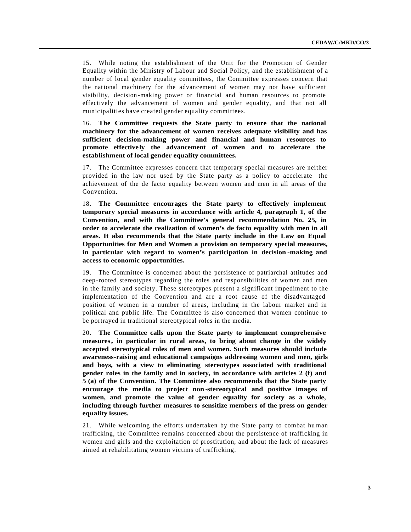15. While noting the establishment of the Unit for the Promotion of Gender Equality within the Ministry of Labour and Social Policy, and the establishment of a number of local gender equality committees, the Committee expresses concern that the national machinery for the advancement of women may not have sufficient visibility, decision -making power or financial and human resources to promote effectively the advancement of women and gender equality, and that not all municipalities have created gender equality committees.

16. **The Committee requests the State party to ensure that the national machinery for the advancement of women receives adequate visibility and has sufficient decision-making power and financial and human resources to promote effectively the advancement of women and to accelerate the establishment of local gender equality committees.** 

17. The Committee expresses concern that temporary special measures are neither provided in the law nor used by the State party as a policy to accelerate the achievement of the de facto equality between women and men in all areas of the Convention.

18. **The Committee encourages the State party to effectively implement temporary special measures in accordance with article 4, paragraph 1, of the Convention, and with the Committee's general recommendation No. 25, in order to accelerate the realization of women's de facto equality with men in all areas. It also recommends that the State party include in the Law on Equal Opportunities for Men and Women a provision on temporary special measures, in particular with regard to women's participation in decision -making and access to economic opportunities.**

19. The Committee is concerned about the persistence of patriarchal attitudes and deep -rooted stereotypes regarding the roles and responsibilities of women and men in the family and society. These stereotypes present a significant impediment to the implementation of the Convention and are a root cause of the disadvantaged position of women in a number of areas, including in the labour market and in political and public life. The Committee is also concerned that women continue to be portrayed in traditional stereotypical roles in the media.

20. **The Committee calls upon the State party to implement comprehensive measures, in particular in rural areas, to bring about change in the widely accepted stereotypical roles of men and women. Such measures should include awareness-raising and educational campaigns addressing women and men, girls and boys, with a view to eliminating stereotypes associated with traditional gender roles in the family and in society, in accordance with articles 2 (f) and 5 (a) of the Convention. The Committee also recommends that the State party encourage the media to project non -stereotypical and positive images of women, and promote the value of gender equality for society as a whole, including through further measures to sensitize members of the press on gender equality issues.**

21. While welcoming the efforts undertaken by the State party to combat hu man trafficking, the Committee remains concerned about the persistence of trafficking in women and girls and the exploitation of prostitution, and about the lack of measures aimed at rehabilitating women victims of trafficking.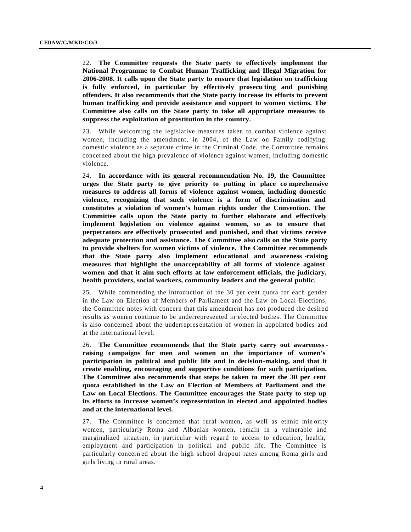22. **The Committee requests the State party to effectively implement the National Programme to Combat Human Trafficking and Illegal Migration for 2006-2008. It calls upon the State party to ensure that legislation on trafficking is fully enforced, in particular by effectively prosecu ting and punishing offenders. It also recommends that the State party increase its efforts to prevent human trafficking and provide assistance and support to women victims. The Committee also calls on the State party to take all appropriate measures to suppress the exploitation of prostitution in the country.**

23. While welcoming the legislative measures taken to combat violence against women, including the amendment, in 2004, of the Law on Family codifying domestic violence as a separate crime in the Criminal Code, the Committee remains concerned about the high prevalence of violence against women, including domestic violence.

24. **In accordance with its general recommendation No. 19, the Committee urges the State party to give priority to putting in place co mprehensive measures to address all forms of violence against women, including domestic violence, recognizing that such violence is a form of discrimination and constitutes a violation of women's human rights under the Convention. The Committee calls upon the State party to further elaborate and effectively implement legislation on violence against women, so as to ensure that perpetrators are effectively prosecuted and punished, and that victims receive adequate protection and assistance. The Committee also calls on the State party to provide shelters for women victims of violence. The Committee recommends that the State party also implement educational and awareness -raising measures that highlight the unacceptability of all forms of violence against women and that it aim such efforts at law enforcement officials, the judiciary, health providers, social workers, community leaders and the general public.**

25. While commending the introduction of the 30 per cent quota for each gender in the Law on Election of Members of Parliament and the Law on Local Elections, the Committee notes with concern that this amendment has not produced the desired results as women continue to be underrepresented in elected bodies. The Committee is also concerned about the underrepres entation of women in appointed bodies and at the international level.

26. **The Committee recommends that the State party carry out awarenessraising campaigns for men and women on the importance of women's participation in political and public life and in decision-making, and that it create enabling, encouraging and supportive conditions for such participation. The Committee also recommends that steps be taken to meet the 30 per cent quota established in the Law on Election of Members of Parliament and the Law on Local Elections. The Committee encourages the State party to step up its efforts to increase women's representation in elected and appointed bodies and at the international level.**

27. The Committee is concerned that rural women, as well as ethnic min ority women, particularly Roma and Albanian women, remain in a vulnerable and marginalized situation, in particular with regard to access to education, health, employment and participation in political and public life. The Committee is particularly concern ed about the high school dropout rates among Roma girls and girls living in rural areas.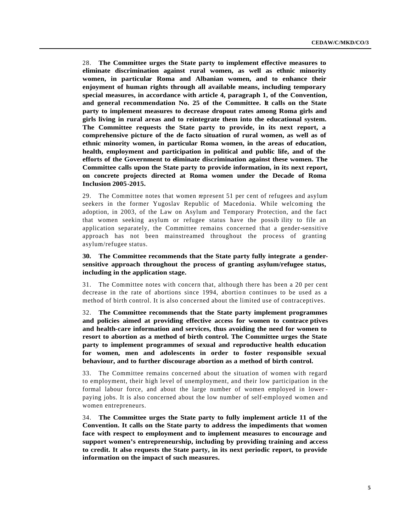28. **The Committee urges the State party to implement effective measures to eliminate discrimination against rural women, as well as ethnic minority women, in particular Roma and Albanian women, and to enhance their enjoyment of human rights through all available means, including temporary special measures, in accordance with article 4, paragraph 1, of the Convention, and general recommendation No. 25 of the Committee. It calls on the State party to implement measures to decrease dropout rates among Roma girls and girls living in rural areas and to reintegrate them into the educational system. The Committee requests the State party to provide, in its next report, a comprehensive picture of the de facto situation of rural women, as well as of ethnic minority women, in particular Roma women, in the areas of education, health, employment and participation in political and public life, and of the efforts of the Government to eliminate discrimination against these women. The Committee calls upon the State party to provide information, in its next report, on concrete projects directed at Roma women under the Decade of Roma Inclusion 2005-2015.**

29. The Committee notes that women represent 51 per cent of refugees and asylum seekers in the former Yugoslav Republic of Macedonia. While welcoming the adoption, in 2003, of the Law on Asylum and Temporary Protection, and the fact that women seeking asylum or refugee status have the possib ility to file an application separately, the Committee remains concerned that a gender-sensitive approach has not been mainstreamed throughout the process of granting asylum/refugee status.

### **30. The Committee recommends that the State party fully integrate a gendersensitive approach throughout the process of granting asylum/refugee status, including in the application stage.**

31. The Committee notes with concern that, although there has been a 20 per cent decrease in the rate of abortions since 1994, abortion continues to be used as a method of birth control. It is also concerned about the limited use of contraceptives.

32. **The Committee recommends that the State party implement programmes and policies aimed at providing effective access for women to contrace ptives and health-care information and services, thus avoiding the need for women to resort to abortion as a method of birth control. The Committee urges the State party to implement programmes of sexual and reproductive health education for women, men and adolescents in order to foster responsible sexual behaviour, and to further discourage abortion as a method of birth control.** 

33. The Committee remains concerned about the situation of women with regard to employment, their high level of unemployment, and their low participation in the formal labour force, and about the large number of women employed in lower paying jobs. It is also concerned about the low number of self-employed women and women entrepreneurs.

34. **The Committee urges the State party to fully implement article 11 of the Convention. It calls on the State party to address the impediments that women face with respect to employment and to implement measures to encourage and support women's entrepreneurship, including by providing training and access to credit. It also requests the State party, in its next periodic report, to provide information on the impact of such measures.**